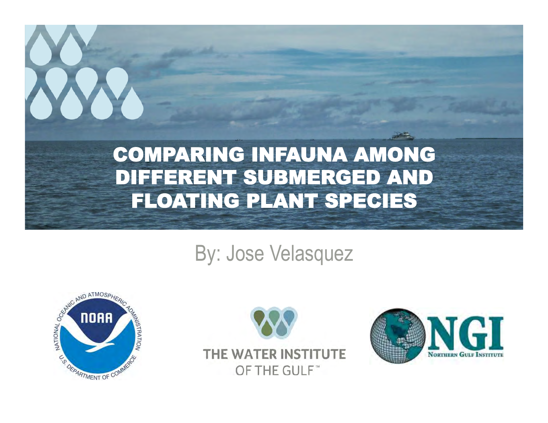### COMPARING INFAUNA AMONG DIFFERENT SUBMERGED AND FLOATING PLANT SPECIES

### By: Jose Velasquez





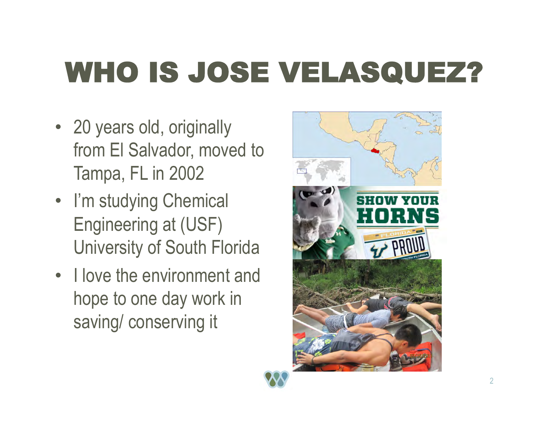# WHO IS JOSE VELASQUEZ?

- 20 years old, originally from El Salvador, moved to Tampa, FL in 2002
- I'm studying Chemical Engineering at (USF) University of South Florida
- I love the environment and hope to one day work in saving/ conserving it

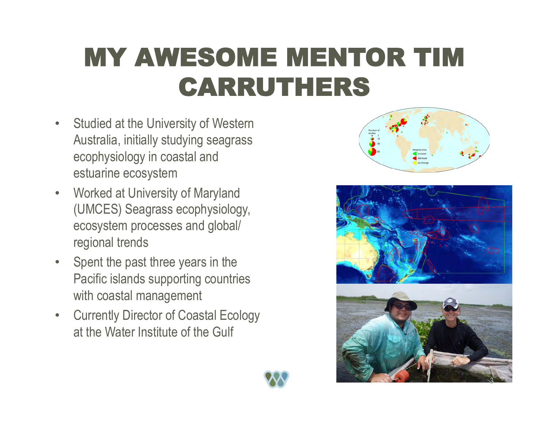## MY AWESOME MENTOR TIM CARRUTHERS

- Studied at the University of Western Australia, initially studying seagrass ecophysiology in coastal and estuarine ecosystem
- Worked at University of Maryland (UMCES) Seagrass ecophysiology, ecosystem processes and global/ regional trends
- Spent the past three years in the Pacific islands supporting countries with coastal management
- Currently Director of Coastal Ecology at the Water Institute of the Gulf





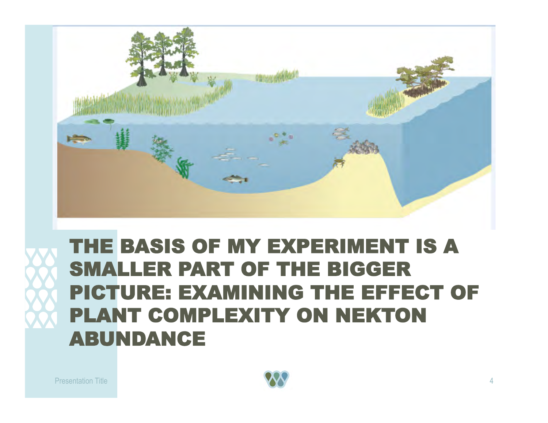

### THE BASIS OF MY EXPERIMENT IS A SMALLER PART OF THE BIGGER PICTURE: EXAMINING THE EFFECT OF PLANT COMPLEXITY ON NEKTON ABUNDANCE

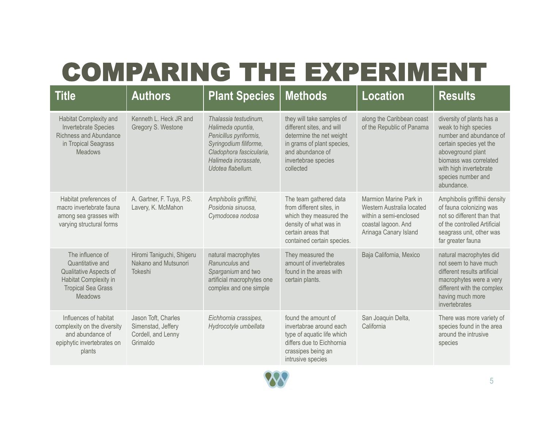### COMPARING THE EXPERIMENT

| <b>Title</b>                                                                                                                           | <b>Authors</b>                                                              | <b>Plant Species</b>                                                                                                                                                    | <b>Methods</b>                                                                                                                                                           | <b>Location</b>                                                                                                               | <b>Results</b>                                                                                                                                                                                                       |
|----------------------------------------------------------------------------------------------------------------------------------------|-----------------------------------------------------------------------------|-------------------------------------------------------------------------------------------------------------------------------------------------------------------------|--------------------------------------------------------------------------------------------------------------------------------------------------------------------------|-------------------------------------------------------------------------------------------------------------------------------|----------------------------------------------------------------------------------------------------------------------------------------------------------------------------------------------------------------------|
| Habitat Complexity and<br>Invertebrate Species<br><b>Richness and Abundance</b><br>in Tropical Seagrass<br><b>Meadows</b>              | Kenneth L. Heck JR and<br>Gregory S. Westone                                | Thalassia testudinum,<br>Halimeda opuntia,<br>Penicillus pyriformis,<br>Syringodium filiforme,<br>Cladophora fascicularia,<br>Halimeda incrassate.<br>Udotea flabellum. | they will take samples of<br>different sites, and will<br>determine the net weight<br>in grams of plant species,<br>and abundance of<br>invertebrae species<br>collected | along the Caribbean coast<br>of the Republic of Panama                                                                        | diversity of plants has a<br>weak to high species<br>number and abundance of<br>certain species yet the<br>aboveground plant<br>biomass was correlated<br>with high invertebrate<br>species number and<br>abundance. |
| Habitat preferences of<br>macro invertebrate fauna<br>among sea grasses with<br>varying structural forms                               | A. Gartner, F. Tuya, P.S.<br>Lavery, K. McMahon                             | Amphibolis griffithii,<br>Posidonia sinuosa,<br>Cymodocea nodosa                                                                                                        | The team gathered data<br>from different sites, in<br>which they measured the<br>density of what was in<br>certain areas that<br>contained certain species.              | Marmion Marine Park in<br>Western Australia located<br>within a semi-enclosed<br>coastal lagoon. And<br>Arinaga Canary Island | Amphibolis griffithii density<br>of fauna colonizing was<br>not so different than that<br>of the controlled Artificial<br>seagrass unit, other was<br>far greater fauna                                              |
| The influence of<br>Quantitative and<br>Qualitative Aspects of<br>Habitat Complexity in<br><b>Tropical Sea Grass</b><br><b>Meadows</b> | Hiromi Taniguchi, Shigeru<br>Nakano and Mutsunori<br>Tokeshi                | natural macrophytes<br>Ranunculus and<br>Sparganium and two<br>artificial macrophytes one<br>complex and one simple                                                     | They measured the<br>amount of invertebrates<br>found in the areas with<br>certain plants.                                                                               | Baja California, Mexico                                                                                                       | natural macrophytes did<br>not seem to have much<br>different results artificial<br>macrophytes were a very<br>different with the complex<br>having much more<br>invertebrates                                       |
| Influences of habitat<br>complexity on the diversity<br>and abundance of<br>epiphytic invertebrates on<br>plants                       | Jason Toft, Charles<br>Simenstad, Jeffery<br>Cordell, and Lenny<br>Grimaldo | Eichhornia crassipes,<br>Hydrocotyle umbellata                                                                                                                          | found the amount of<br>invertabrae around each<br>type of aquatic life which<br>differs due to Eichhornia<br>crassipes being an<br>intrusive species                     | San Joaquin Delta,<br>California                                                                                              | There was more variety of<br>species found in the area<br>around the intrusive<br>species                                                                                                                            |

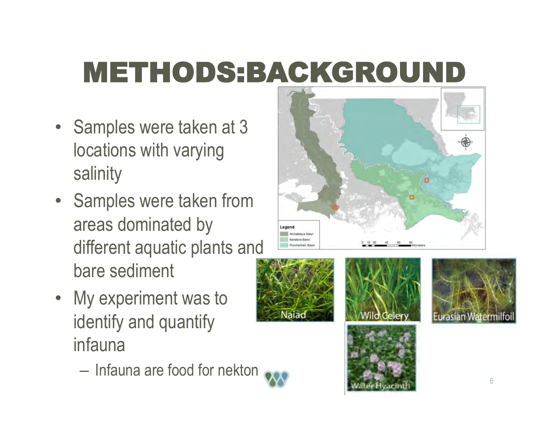# METHODS:BACKGROUND

- Samples were taken at 3 locations with varying salinity
- Samples were taken from areas dominated by different aquatic plants and bare sediment
- My experiment was to identify and quantify infauna
	- Infauna are food for nekton









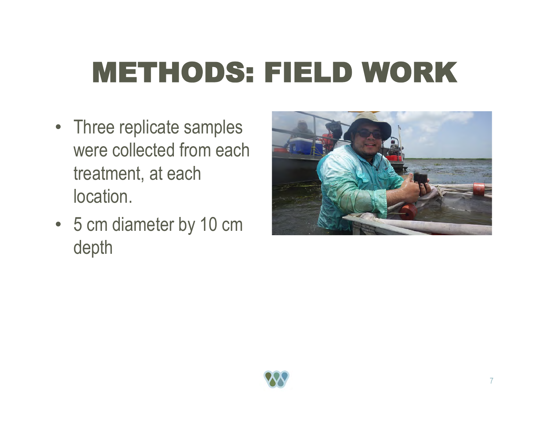# METHODS: FIELD WORK

- Three replicate samples were collected from each treatment, at each location.
- 5 cm diameter by 10 cm depth



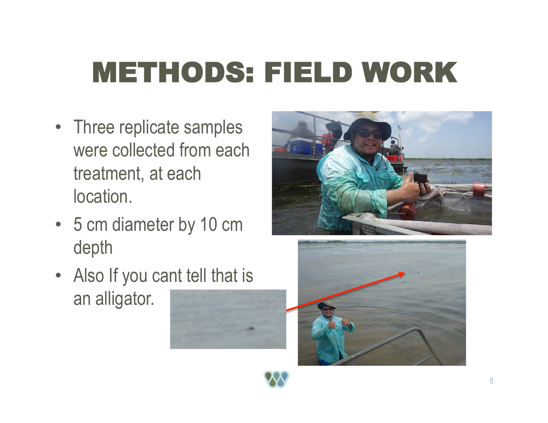# METHODS: FIELD WORK

- Three replicate samples were collected from each treatment, at each location.
- 5 cm diameter by 10 cm depth
- Also If you cant tell that is an alligator.





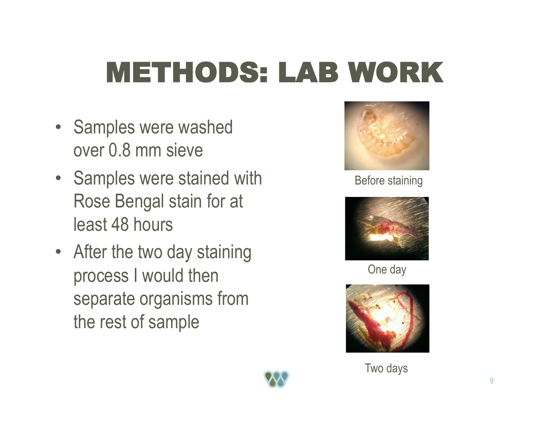# METHODS: LAB WORK

- Samples were washed over 0.8 mm sieve
- Samples were stained with Rose Bengal stain for at least 48 hours
- After the two day staining process I would then separate organisms from the rest of sample



#### Before staining



One day



Two days

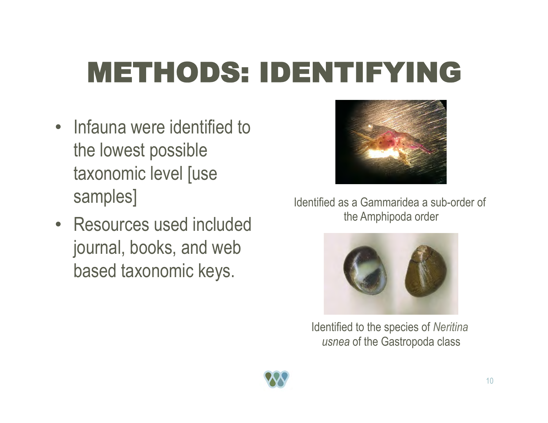# METHODS: IDENTIFYING

- Infauna were identified to the lowest possible taxonomic level [use samples]
- Resources used included journal, books, and web based taxonomic keys.



Identified as a Gammaridea a sub-order of the Amphipoda order



Identified to the species of *Neritina usnea* of the Gastropoda class

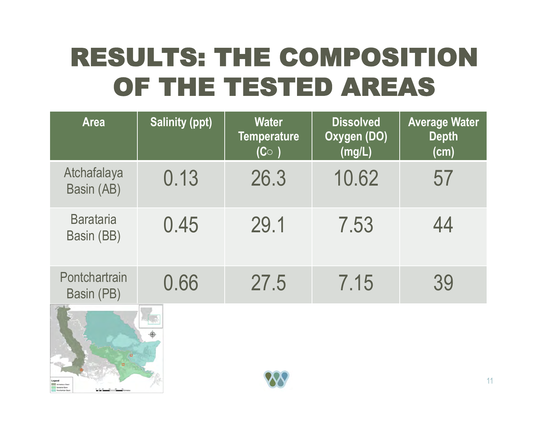## RESULTS: THE COMPOSITION OF THE TESTED AREAS

| <b>Area</b>                    | <b>Salinity (ppt)</b> | <b>Water</b><br><b>Temperature</b><br>$(C^{\circ})$ | <b>Dissolved</b><br>Oxygen (DO)<br>(mg/L) | <b>Average Water</b><br><b>Depth</b><br>(cm) |
|--------------------------------|-----------------------|-----------------------------------------------------|-------------------------------------------|----------------------------------------------|
| Atchafalaya<br>Basin (AB)      | 0.13                  | 26.3                                                | 10.62                                     | 57                                           |
| <b>Barataria</b><br>Basin (BB) | 0.45                  | 29.1                                                | 7.53                                      | 44                                           |
| Pontchartrain<br>Basin (PB)    | 0.66                  | 27.5                                                | 7.15                                      | 39                                           |
|                                |                       |                                                     |                                           | 11                                           |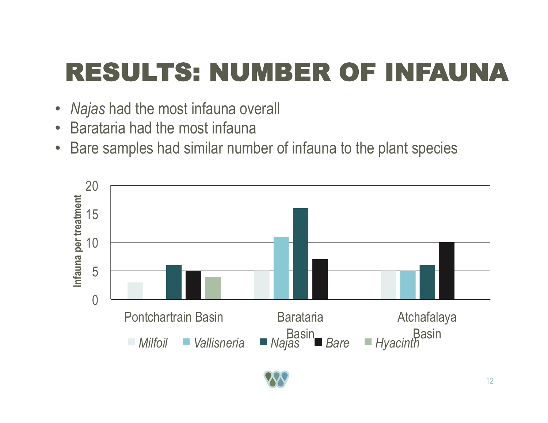## RESULTS: NUMBER OF INFAUNA

- *Najas* had the most infauna overall
- Barataria had the most infauna
- Bare samples had similar number of infauna to the plant species

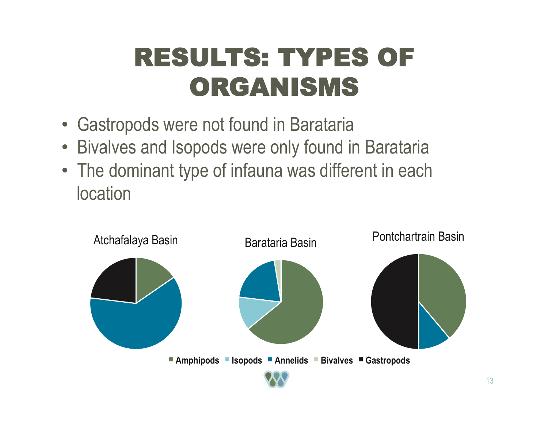## RESULTS: TYPES OF ORGANISMS

- Gastropods were not found in Barataria
- Bivalves and Isopods were only found in Barataria
- The dominant type of infauna was different in each **location**

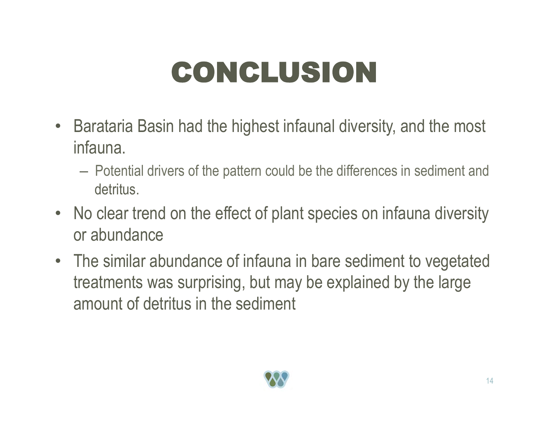# CONCLUSION

- Barataria Basin had the highest infaunal diversity, and the most infauna.
	- Potential drivers of the pattern could be the differences in sediment and detritus.
- No clear trend on the effect of plant species on infauna diversity or abundance
- The similar abundance of infauna in bare sediment to vegetated treatments was surprising, but may be explained by the large amount of detritus in the sediment

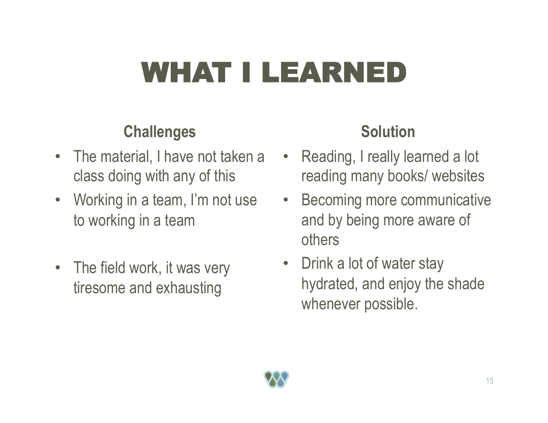# WHAT I LEARNED

### **Challenges**

- The material, I have not taken a class doing with any of this
- Working in a team, I'm not use to working in a team
- The field work, it was very tiresome and exhausting

### **Solution**

- Reading, I really learned a lot reading many books/ websites
- Becoming more communicative and by being more aware of others
- Drink a lot of water stay hydrated, and enjoy the shade whenever possible.

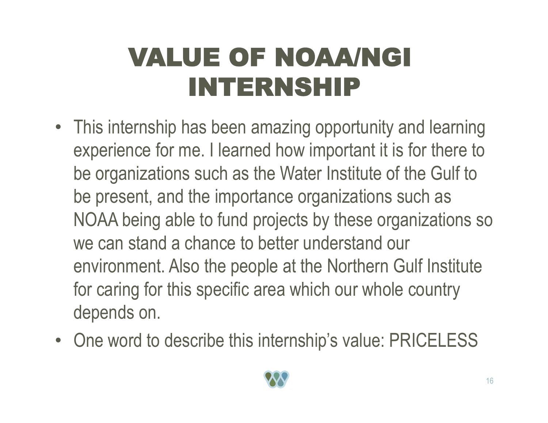## VALUE OF NOAA/NGI INTERNSHIP

- This internship has been amazing opportunity and learning experience for me. I learned how important it is for there to be organizations such as the Water Institute of the Gulf to be present, and the importance organizations such as NOAA being able to fund projects by these organizations so we can stand a chance to better understand our environment. Also the people at the Northern Gulf Institute for caring for this specific area which our whole country depends on.
- One word to describe this internship's value: PRICELESS

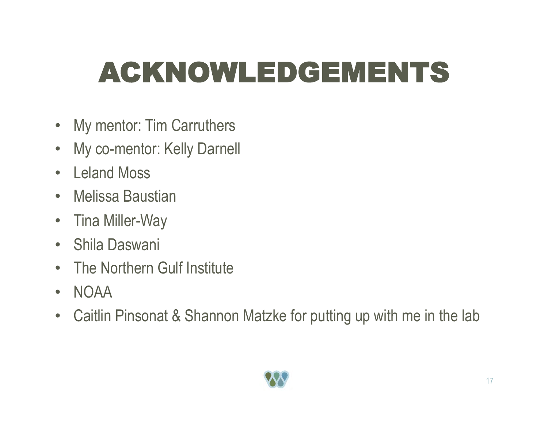# ACKNOWLEDGEMENTS

- My mentor: Tim Carruthers
- My co-mentor: Kelly Darnell
- Leland Moss
- Melissa Baustian
- Tina Miller-Way
- Shila Daswani
- The Northern Gulf Institute
- NOAA
- Caitlin Pinsonat & Shannon Matzke for putting up with me in the lab

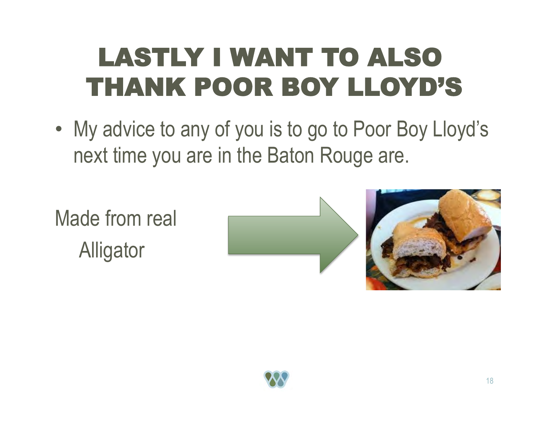## LASTLY I WANT TO ALSO THANK POOR BOY LLOYD'S

• My advice to any of you is to go to Poor Boy Lloyd's next time you are in the Baton Rouge are.

Made from real **Alligator**